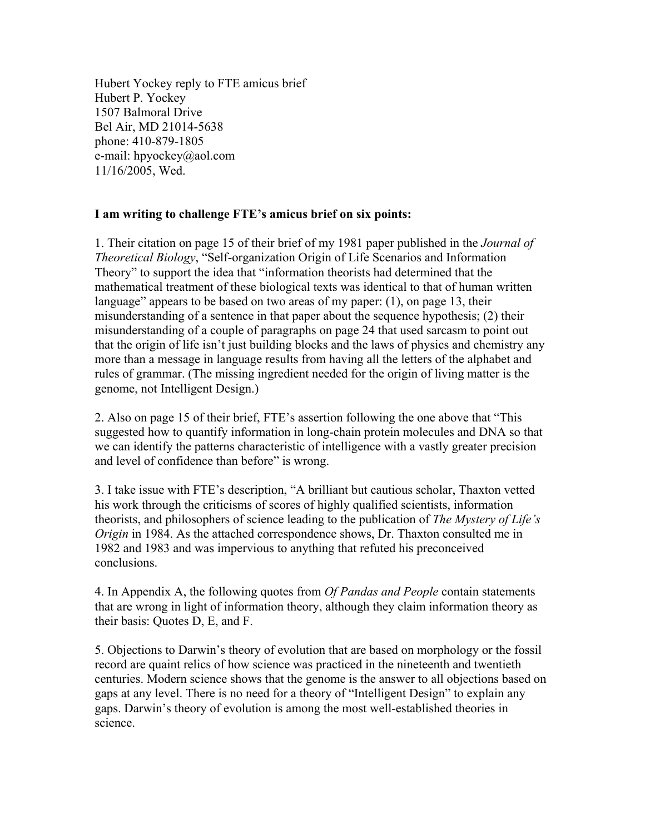Hubert Yockey reply to FTE amicus brief Hubert P. Yockey 1507 Balmoral Drive Bel Air, MD 21014-5638 phone: 410-879-1805 e-mail: hpyockey@aol.com 11/16/2005, Wed.

### **I am writing to challenge FTE's amicus brief on six points:**

1. Their citation on page 15 of their brief of my 1981 paper published in the *Journal of Theoretical Biology*, "Self-organization Origin of Life Scenarios and Information Theory" to support the idea that "information theorists had determined that the mathematical treatment of these biological texts was identical to that of human written language" appears to be based on two areas of my paper: (1), on page 13, their misunderstanding of a sentence in that paper about the sequence hypothesis; (2) their misunderstanding of a couple of paragraphs on page 24 that used sarcasm to point out that the origin of life isn't just building blocks and the laws of physics and chemistry any more than a message in language results from having all the letters of the alphabet and rules of grammar. (The missing ingredient needed for the origin of living matter is the genome, not Intelligent Design.)

2. Also on page 15 of their brief, FTE's assertion following the one above that "This suggested how to quantify information in long-chain protein molecules and DNA so that we can identify the patterns characteristic of intelligence with a vastly greater precision and level of confidence than before" is wrong.

3. I take issue with FTE's description, "A brilliant but cautious scholar, Thaxton vetted his work through the criticisms of scores of highly qualified scientists, information theorists, and philosophers of science leading to the publication of *The Mystery of Life's Origin* in 1984. As the attached correspondence shows, Dr. Thaxton consulted me in 1982 and 1983 and was impervious to anything that refuted his preconceived conclusions.

4. In Appendix A, the following quotes from *Of Pandas and People* contain statements that are wrong in light of information theory, although they claim information theory as their basis: Quotes D, E, and F.

5. Objections to Darwin's theory of evolution that are based on morphology or the fossil record are quaint relics of how science was practiced in the nineteenth and twentieth centuries. Modern science shows that the genome is the answer to all objections based on gaps at any level. There is no need for a theory of "Intelligent Design" to explain any gaps. Darwin's theory of evolution is among the most well-established theories in science.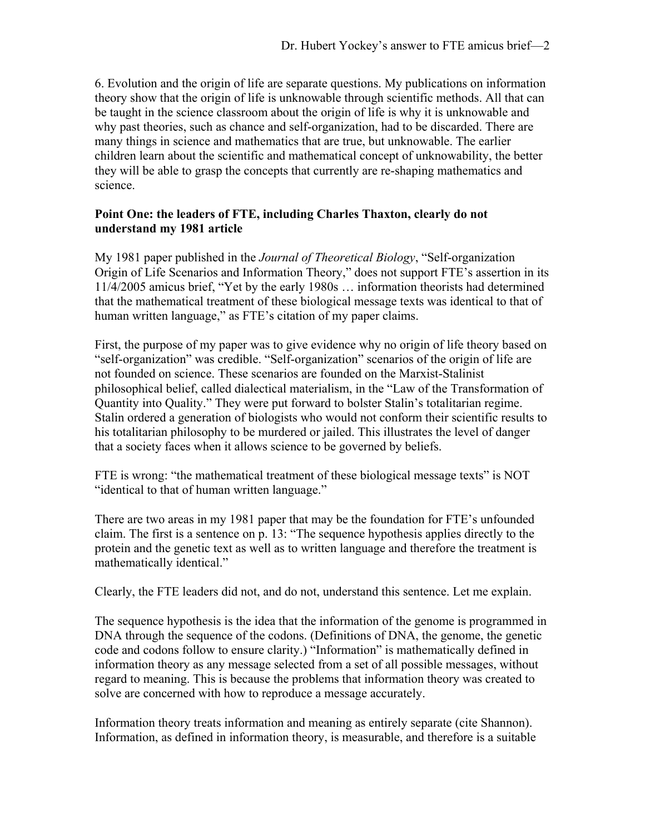6. Evolution and the origin of life are separate questions. My publications on information theory show that the origin of life is unknowable through scientific methods. All that can be taught in the science classroom about the origin of life is why it is unknowable and why past theories, such as chance and self-organization, had to be discarded. There are many things in science and mathematics that are true, but unknowable. The earlier children learn about the scientific and mathematical concept of unknowability, the better they will be able to grasp the concepts that currently are re-shaping mathematics and science.

# **Point One: the leaders of FTE, including Charles Thaxton, clearly do not understand my 1981 article**

My 1981 paper published in the *Journal of Theoretical Biology*, "Self-organization Origin of Life Scenarios and Information Theory," does not support FTE's assertion in its 11/4/2005 amicus brief, "Yet by the early 1980s … information theorists had determined that the mathematical treatment of these biological message texts was identical to that of human written language," as FTE's citation of my paper claims.

First, the purpose of my paper was to give evidence why no origin of life theory based on "self-organization" was credible. "Self-organization" scenarios of the origin of life are not founded on science. These scenarios are founded on the Marxist-Stalinist philosophical belief, called dialectical materialism, in the "Law of the Transformation of Quantity into Quality." They were put forward to bolster Stalin's totalitarian regime. Stalin ordered a generation of biologists who would not conform their scientific results to his totalitarian philosophy to be murdered or jailed. This illustrates the level of danger that a society faces when it allows science to be governed by beliefs.

FTE is wrong: "the mathematical treatment of these biological message texts" is NOT "identical to that of human written language."

There are two areas in my 1981 paper that may be the foundation for FTE's unfounded claim. The first is a sentence on p. 13: "The sequence hypothesis applies directly to the protein and the genetic text as well as to written language and therefore the treatment is mathematically identical."

Clearly, the FTE leaders did not, and do not, understand this sentence. Let me explain.

The sequence hypothesis is the idea that the information of the genome is programmed in DNA through the sequence of the codons. (Definitions of DNA, the genome, the genetic code and codons follow to ensure clarity.) "Information" is mathematically defined in information theory as any message selected from a set of all possible messages, without regard to meaning. This is because the problems that information theory was created to solve are concerned with how to reproduce a message accurately.

Information theory treats information and meaning as entirely separate (cite Shannon). Information, as defined in information theory, is measurable, and therefore is a suitable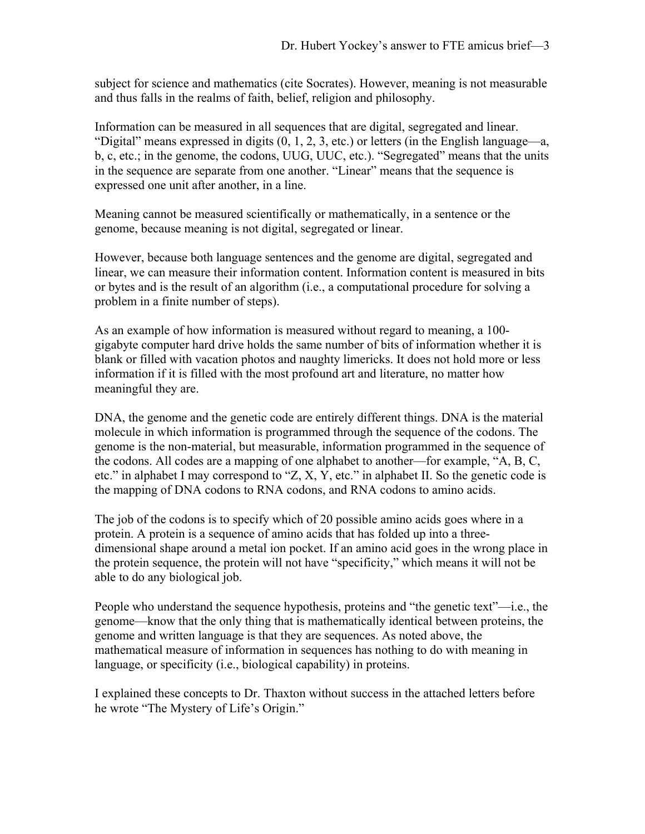subject for science and mathematics (cite Socrates). However, meaning is not measurable and thus falls in the realms of faith, belief, religion and philosophy.

Information can be measured in all sequences that are digital, segregated and linear. "Digital" means expressed in digits (0, 1, 2, 3, etc.) or letters (in the English language—a, b, c, etc.; in the genome, the codons, UUG, UUC, etc.). "Segregated" means that the units in the sequence are separate from one another. "Linear" means that the sequence is expressed one unit after another, in a line.

Meaning cannot be measured scientifically or mathematically, in a sentence or the genome, because meaning is not digital, segregated or linear.

However, because both language sentences and the genome are digital, segregated and linear, we can measure their information content. Information content is measured in bits or bytes and is the result of an algorithm (i.e., a computational procedure for solving a problem in a finite number of steps).

As an example of how information is measured without regard to meaning, a 100 gigabyte computer hard drive holds the same number of bits of information whether it is blank or filled with vacation photos and naughty limericks. It does not hold more or less information if it is filled with the most profound art and literature, no matter how meaningful they are.

DNA, the genome and the genetic code are entirely different things. DNA is the material molecule in which information is programmed through the sequence of the codons. The genome is the non-material, but measurable, information programmed in the sequence of the codons. All codes are a mapping of one alphabet to another—for example, "A, B, C, etc." in alphabet I may correspond to "Z, X, Y, etc." in alphabet II. So the genetic code is the mapping of DNA codons to RNA codons, and RNA codons to amino acids.

The job of the codons is to specify which of 20 possible amino acids goes where in a protein. A protein is a sequence of amino acids that has folded up into a threedimensional shape around a metal ion pocket. If an amino acid goes in the wrong place in the protein sequence, the protein will not have "specificity," which means it will not be able to do any biological job.

People who understand the sequence hypothesis, proteins and "the genetic text"—i.e., the genome—know that the only thing that is mathematically identical between proteins, the genome and written language is that they are sequences. As noted above, the mathematical measure of information in sequences has nothing to do with meaning in language, or specificity (i.e., biological capability) in proteins.

I explained these concepts to Dr. Thaxton without success in the attached letters before he wrote "The Mystery of Life's Origin."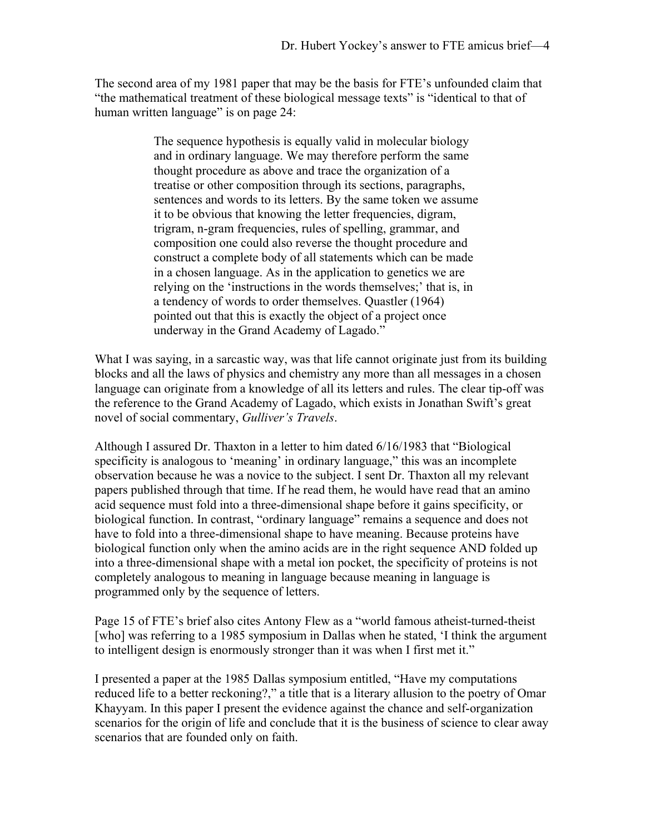The second area of my 1981 paper that may be the basis for FTE's unfounded claim that "the mathematical treatment of these biological message texts" is "identical to that of human written language" is on page 24:

> The sequence hypothesis is equally valid in molecular biology and in ordinary language. We may therefore perform the same thought procedure as above and trace the organization of a treatise or other composition through its sections, paragraphs, sentences and words to its letters. By the same token we assume it to be obvious that knowing the letter frequencies, digram, trigram, n-gram frequencies, rules of spelling, grammar, and composition one could also reverse the thought procedure and construct a complete body of all statements which can be made in a chosen language. As in the application to genetics we are relying on the 'instructions in the words themselves;' that is, in a tendency of words to order themselves. Quastler (1964) pointed out that this is exactly the object of a project once underway in the Grand Academy of Lagado."

What I was saying, in a sarcastic way, was that life cannot originate just from its building blocks and all the laws of physics and chemistry any more than all messages in a chosen language can originate from a knowledge of all its letters and rules. The clear tip-off was the reference to the Grand Academy of Lagado, which exists in Jonathan Swift's great novel of social commentary, *Gulliver's Travels*.

Although I assured Dr. Thaxton in a letter to him dated 6/16/1983 that "Biological specificity is analogous to 'meaning' in ordinary language," this was an incomplete observation because he was a novice to the subject. I sent Dr. Thaxton all my relevant papers published through that time. If he read them, he would have read that an amino acid sequence must fold into a three-dimensional shape before it gains specificity, or biological function. In contrast, "ordinary language" remains a sequence and does not have to fold into a three-dimensional shape to have meaning. Because proteins have biological function only when the amino acids are in the right sequence AND folded up into a three-dimensional shape with a metal ion pocket, the specificity of proteins is not completely analogous to meaning in language because meaning in language is programmed only by the sequence of letters.

Page 15 of FTE's brief also cites Antony Flew as a "world famous atheist-turned-theist [who] was referring to a 1985 symposium in Dallas when he stated, 'I think the argument to intelligent design is enormously stronger than it was when I first met it."

I presented a paper at the 1985 Dallas symposium entitled, "Have my computations reduced life to a better reckoning?," a title that is a literary allusion to the poetry of Omar Khayyam. In this paper I present the evidence against the chance and self-organization scenarios for the origin of life and conclude that it is the business of science to clear away scenarios that are founded only on faith.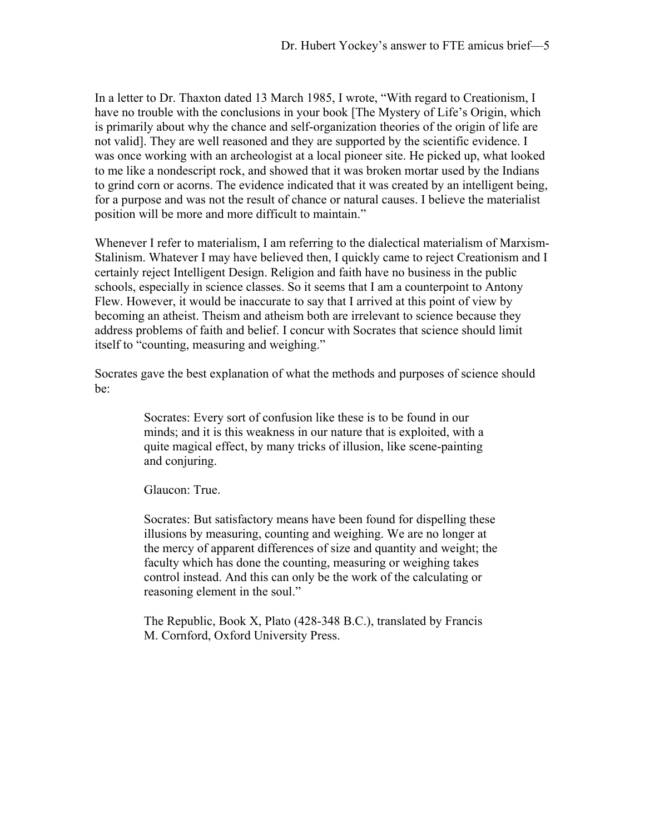In a letter to Dr. Thaxton dated 13 March 1985, I wrote, "With regard to Creationism, I have no trouble with the conclusions in your book [The Mystery of Life's Origin, which is primarily about why the chance and self-organization theories of the origin of life are not valid]. They are well reasoned and they are supported by the scientific evidence. I was once working with an archeologist at a local pioneer site. He picked up, what looked to me like a nondescript rock, and showed that it was broken mortar used by the Indians to grind corn or acorns. The evidence indicated that it was created by an intelligent being, for a purpose and was not the result of chance or natural causes. I believe the materialist position will be more and more difficult to maintain."

Whenever I refer to materialism, I am referring to the dialectical materialism of Marxism-Stalinism. Whatever I may have believed then, I quickly came to reject Creationism and I certainly reject Intelligent Design. Religion and faith have no business in the public schools, especially in science classes. So it seems that I am a counterpoint to Antony Flew. However, it would be inaccurate to say that I arrived at this point of view by becoming an atheist. Theism and atheism both are irrelevant to science because they address problems of faith and belief. I concur with Socrates that science should limit itself to "counting, measuring and weighing."

Socrates gave the best explanation of what the methods and purposes of science should be:

> Socrates: Every sort of confusion like these is to be found in our minds; and it is this weakness in our nature that is exploited, with a quite magical effect, by many tricks of illusion, like scene-painting and conjuring.

Glaucon: True.

Socrates: But satisfactory means have been found for dispelling these illusions by measuring, counting and weighing. We are no longer at the mercy of apparent differences of size and quantity and weight; the faculty which has done the counting, measuring or weighing takes control instead. And this can only be the work of the calculating or reasoning element in the soul."

The Republic, Book X, Plato (428-348 B.C.), translated by Francis M. Cornford, Oxford University Press.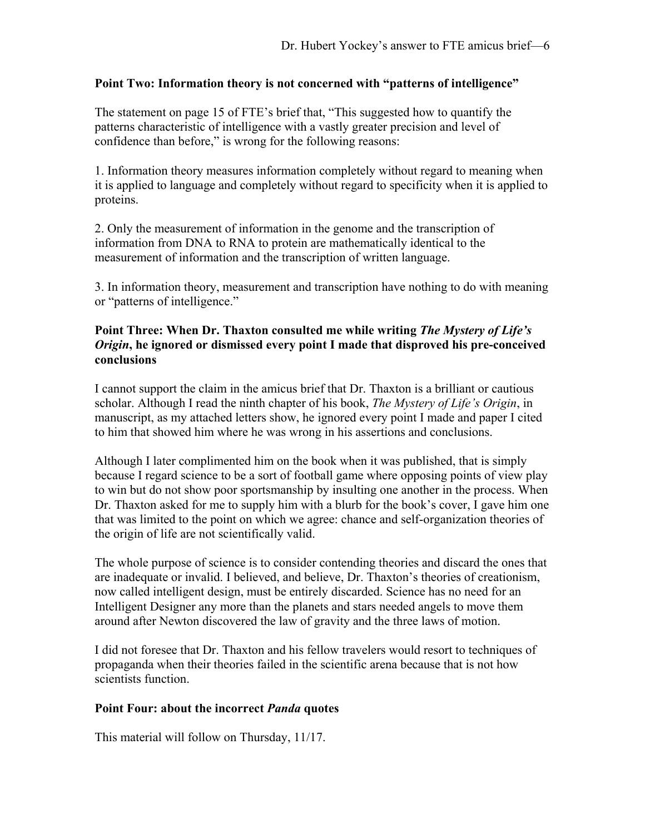## **Point Two: Information theory is not concerned with "patterns of intelligence"**

The statement on page 15 of FTE's brief that, "This suggested how to quantify the patterns characteristic of intelligence with a vastly greater precision and level of confidence than before," is wrong for the following reasons:

1. Information theory measures information completely without regard to meaning when it is applied to language and completely without regard to specificity when it is applied to proteins.

2. Only the measurement of information in the genome and the transcription of information from DNA to RNA to protein are mathematically identical to the measurement of information and the transcription of written language.

3. In information theory, measurement and transcription have nothing to do with meaning or "patterns of intelligence."

#### **Point Three: When Dr. Thaxton consulted me while writing** *The Mystery of Life's Origin***, he ignored or dismissed every point I made that disproved his pre-conceived conclusions**

I cannot support the claim in the amicus brief that Dr. Thaxton is a brilliant or cautious scholar. Although I read the ninth chapter of his book, *The Mystery of Life's Origin*, in manuscript, as my attached letters show, he ignored every point I made and paper I cited to him that showed him where he was wrong in his assertions and conclusions.

Although I later complimented him on the book when it was published, that is simply because I regard science to be a sort of football game where opposing points of view play to win but do not show poor sportsmanship by insulting one another in the process. When Dr. Thaxton asked for me to supply him with a blurb for the book's cover, I gave him one that was limited to the point on which we agree: chance and self-organization theories of the origin of life are not scientifically valid.

The whole purpose of science is to consider contending theories and discard the ones that are inadequate or invalid. I believed, and believe, Dr. Thaxton's theories of creationism, now called intelligent design, must be entirely discarded. Science has no need for an Intelligent Designer any more than the planets and stars needed angels to move them around after Newton discovered the law of gravity and the three laws of motion.

I did not foresee that Dr. Thaxton and his fellow travelers would resort to techniques of propaganda when their theories failed in the scientific arena because that is not how scientists function.

#### **Point Four: about the incorrect** *Panda* **quotes**

This material will follow on Thursday, 11/17.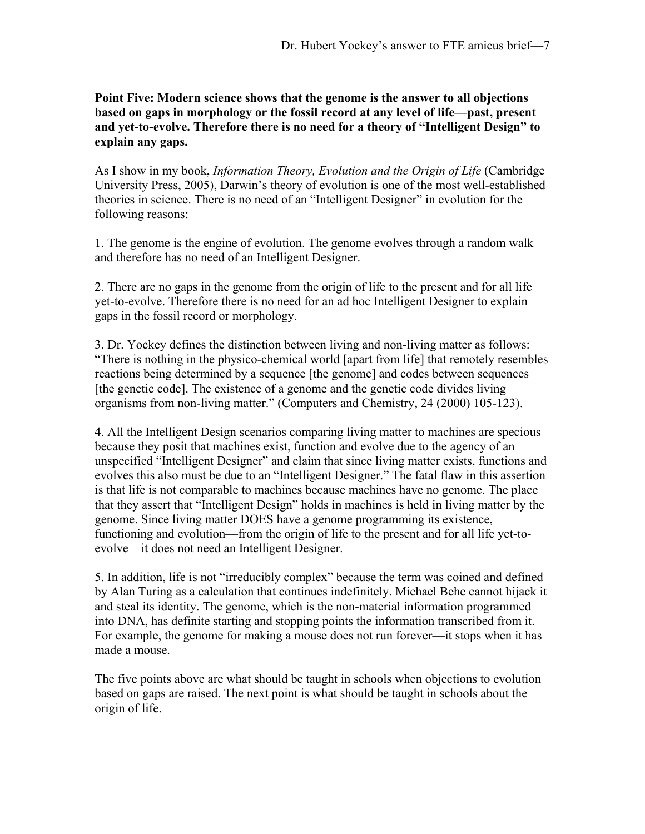**Point Five: Modern science shows that the genome is the answer to all objections based on gaps in morphology or the fossil record at any level of life—past, present and yet-to-evolve. Therefore there is no need for a theory of "Intelligent Design" to explain any gaps.** 

As I show in my book, *Information Theory, Evolution and the Origin of Life* (Cambridge University Press, 2005), Darwin's theory of evolution is one of the most well-established theories in science. There is no need of an "Intelligent Designer" in evolution for the following reasons:

1. The genome is the engine of evolution. The genome evolves through a random walk and therefore has no need of an Intelligent Designer.

2. There are no gaps in the genome from the origin of life to the present and for all life yet-to-evolve. Therefore there is no need for an ad hoc Intelligent Designer to explain gaps in the fossil record or morphology.

3. Dr. Yockey defines the distinction between living and non-living matter as follows: "There is nothing in the physico-chemical world [apart from life] that remotely resembles reactions being determined by a sequence [the genome] and codes between sequences [the genetic code]. The existence of a genome and the genetic code divides living organisms from non-living matter." (Computers and Chemistry, 24 (2000) 105-123).

4. All the Intelligent Design scenarios comparing living matter to machines are specious because they posit that machines exist, function and evolve due to the agency of an unspecified "Intelligent Designer" and claim that since living matter exists, functions and evolves this also must be due to an "Intelligent Designer." The fatal flaw in this assertion is that life is not comparable to machines because machines have no genome. The place that they assert that "Intelligent Design" holds in machines is held in living matter by the genome. Since living matter DOES have a genome programming its existence, functioning and evolution—from the origin of life to the present and for all life yet-toevolve—it does not need an Intelligent Designer.

5. In addition, life is not "irreducibly complex" because the term was coined and defined by Alan Turing as a calculation that continues indefinitely. Michael Behe cannot hijack it and steal its identity. The genome, which is the non-material information programmed into DNA, has definite starting and stopping points the information transcribed from it. For example, the genome for making a mouse does not run forever—it stops when it has made a mouse.

The five points above are what should be taught in schools when objections to evolution based on gaps are raised. The next point is what should be taught in schools about the origin of life.